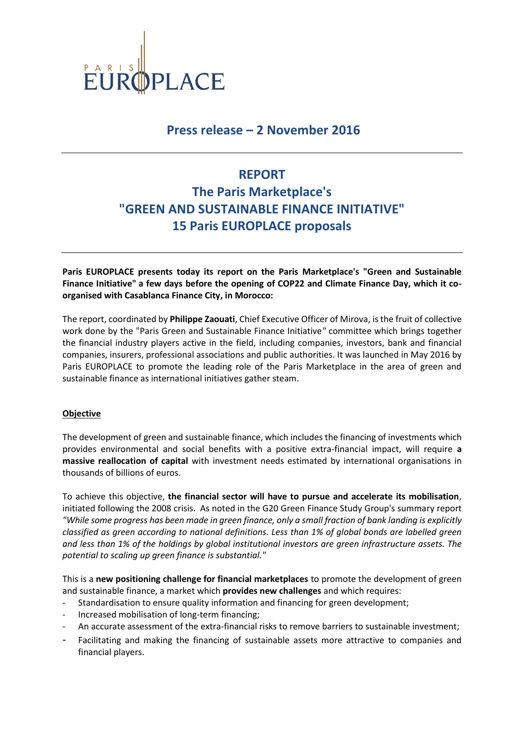

## **Press release – 2 November 2016**

# **REPORT The Paris Marketplace's "GREEN AND SUSTAINABLE FINANCE INITIATIVE" 15 Paris EUROPLACE proposals**

**Paris EUROPLACE presents today its report on the Paris Marketplace's "Green and Sustainable Finance Initiative" a few days before the opening of COP22 and Climate Finance Day, which it coorganised with Casablanca Finance City, in Morocco:**

The report, coordinated by **Philippe Zaouati**, Chief Executive Officer of Mirova, is the fruit of collective work done by the "Paris Green and Sustainable Finance Initiative*"* committee which brings together the financial industry players active in the field, including companies, investors, bank and financial companies, insurers, professional associations and public authorities. It was launched in May 2016 by Paris EUROPLACE to promote the leading role of the Paris Marketplace in the area of green and sustainable finance as international initiatives gather steam.

### **Objective**

The development of green and sustainable finance, which includes the financing of investments which provides environmental and social benefits with a positive extra-financial impact, will require **a massive reallocation of capital** with investment needs estimated by international organisations in thousands of billions of euros.

To achieve this objective, **the financial sector will have to pursue and accelerate its mobilisation**, initiated following the 2008 crisis. As noted in the G20 Green Finance Study Group's summary report *"While some progress has been made in green finance, only a small fraction of bank landing is explicitly classified as green according to national definitions. Less than 1% of global bonds are labelled green and less than 1% of the holdings by global institutional investors are green infrastructure assets. The potential to scaling up green finance is substantial."*

This is a **new positioning challenge for financial marketplaces** to promote the development of green and sustainable finance, a market which **provides new challenges** and which requires:

- Standardisation to ensure quality information and financing for green development;
- Increased mobilisation of long-term financing;
- An accurate assessment of the extra-financial risks to remove barriers to sustainable investment;
- Facilitating and making the financing of sustainable assets more attractive to companies and financial players.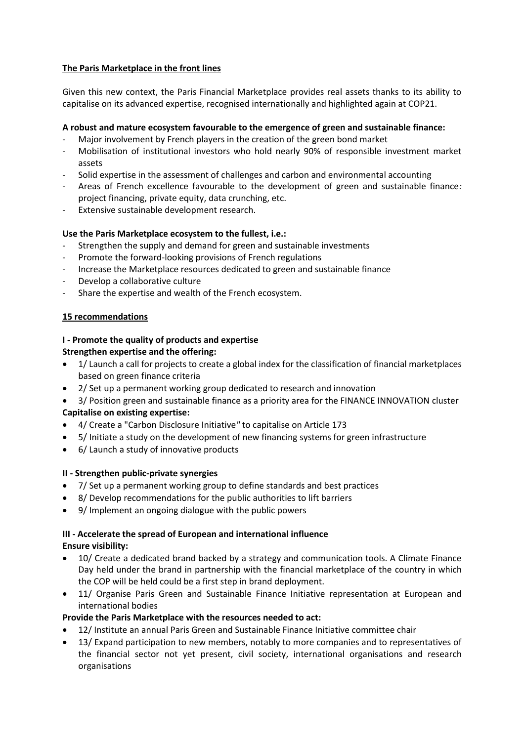## **The Paris Marketplace in the front lines**

Given this new context, the Paris Financial Marketplace provides real assets thanks to its ability to capitalise on its advanced expertise, recognised internationally and highlighted again at COP21.

## **A robust and mature ecosystem favourable to the emergence of green and sustainable finance:**

- Major involvement by French players in the creation of the green bond market
- Mobilisation of institutional investors who hold nearly 90% of responsible investment market assets
- Solid expertise in the assessment of challenges and carbon and environmental accounting
- Areas of French excellence favourable to the development of green and sustainable finance*:*  project financing, private equity, data crunching, etc.
- Extensive sustainable development research.

## **Use the Paris Marketplace ecosystem to the fullest, i.e.:**

- Strengthen the supply and demand for green and sustainable investments
- Promote the forward-looking provisions of French regulations
- Increase the Marketplace resources dedicated to green and sustainable finance
- Develop a collaborative culture
- Share the expertise and wealth of the French ecosystem.

## **15 recommendations**

## **I - Promote the quality of products and expertise Strengthen expertise and the offering:**

- 1/ Launch a call for projects to create a global index for the classification of financial marketplaces based on green finance criteria
- 2/ Set up a permanent working group dedicated to research and innovation
- 3/ Position green and sustainable finance as a priority area for the FINANCE INNOVATION cluster

## **Capitalise on existing expertise:**

- 4/ Create a "Carbon Disclosure Initiative*"* to capitalise on Article 173
- 5/ Initiate a study on the development of new financing systems for green infrastructure
- 6/ Launch a study of innovative products

## **II - Strengthen public-private synergies**

- 7/ Set up a permanent working group to define standards and best practices
- 8/ Develop recommendations for the public authorities to lift barriers
- 9/ Implement an ongoing dialogue with the public powers

# **III - Accelerate the spread of European and international influence**

## **Ensure visibility:**

- 10/ Create a dedicated brand backed by a strategy and communication tools. A Climate Finance Day held under the brand in partnership with the financial marketplace of the country in which the COP will be held could be a first step in brand deployment.
- 11/ Organise Paris Green and Sustainable Finance Initiative representation at European and international bodies

## **Provide the Paris Marketplace with the resources needed to act:**

- 12/ Institute an annual Paris Green and Sustainable Finance Initiative committee chair
- 13/ Expand participation to new members, notably to more companies and to representatives of the financial sector not yet present, civil society, international organisations and research organisations